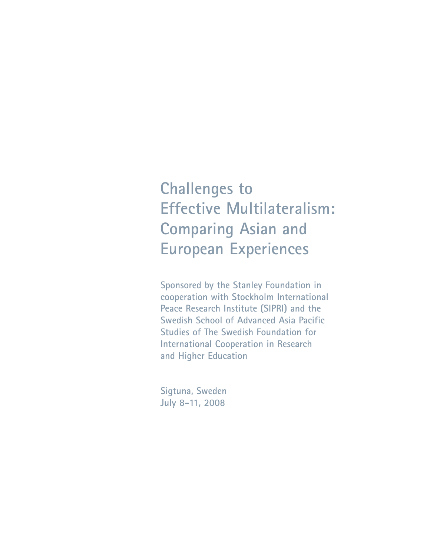# **Challenges to Effective Multilateralism: Comparing Asian and European Experiences**

**Sponsored by the Stanley Foundation in cooperation with Stockholm International Peace Research Institute (SIPRI) and the Swedish School of Advanced Asia Pacific Studies of The Swedish Foundation for International Cooperation in Research and Higher Education**

**Sigtuna, Sweden July 8-11, 2008**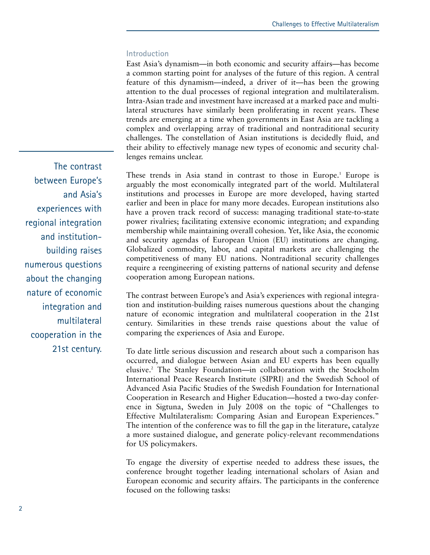#### **Introduction**

East Asia's dynamism—in both economic and security affairs—has become a common starting point for analyses of the future of this region. A central feature of this dynamism—indeed, a driver of it—has been the growing attention to the dual processes of regional integration and multilateralism. Intra-Asian trade and investment have increased at a marked pace and multilateral structures have similarly been proliferating in recent years. These trends are emerging at a time when governments in East Asia are tackling a complex and overlapping array of traditional and nontraditional security challenges. The constellation of Asian institutions is decidedly fluid, and their ability to effectively manage new types of economic and security challenges remains unclear.

These trends in Asia stand in contrast to those in Europe.<sup>1</sup> Europe is arguably the most economically integrated part of the world. Multilateral institutions and processes in Europe are more developed, having started earlier and been in place for many more decades. European institutions also have a proven track record of success: managing traditional state-to-state power rivalries; facilitating extensive economic integration; and expanding membership while maintaining overall cohesion. Yet, like Asia, the economic and security agendas of European Union (EU) institutions are changing. Globalized commodity, labor, and capital markets are challenging the competitiveness of many EU nations. Nontraditional security challenges require a reengineering of existing patterns of national security and defense cooperation among European nations.

The contrast between Europe's and Asia's experiences with regional integration and institution-building raises numerous questions about the changing nature of economic integration and multilateral cooperation in the 21st century. Similarities in these trends raise questions about the value of comparing the experiences of Asia and Europe.

To date little serious discussion and research about such a comparison has occurred, and dialogue between Asian and EU experts has been equally elusive.2 The Stanley Foundation—in collaboration with the Stockholm International Peace Research Institute (SIPRI) and the Swedish School of Advanced Asia Pacific Studies of the Swedish Foundation for International Cooperation in Research and Higher Education—hosted a two-day conference in Sigtuna, Sweden in July 2008 on the topic of "Challenges to Effective Multilateralism: Comparing Asian and European Experiences." The intention of the conference was to fill the gap in the literature, catalyze a more sustained dialogue, and generate policy-relevant recommendations for US policymakers.

To engage the diversity of expertise needed to address these issues, the conference brought together leading international scholars of Asian and European economic and security affairs. The participants in the conference focused on the following tasks:

The contrast between Europe's and Asia's experiences with regional integration and institutionbuilding raises numerous questions about the changing nature of economic integration and multilateral cooperation in the 21st century.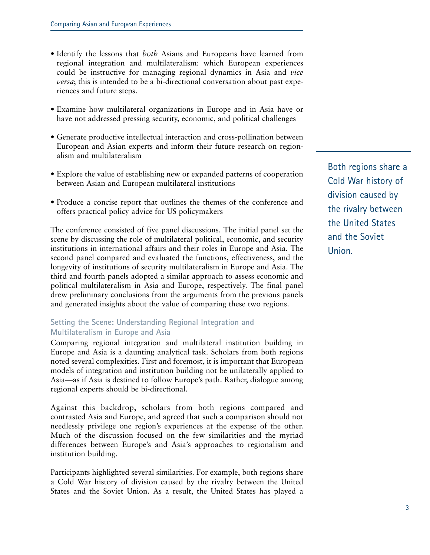- Identify the lessons that *both* Asians and Europeans have learned from regional integration and multilateralism: which European experiences could be instructive for managing regional dynamics in Asia and *vice versa*; this is intended to be a bi-directional conversation about past experiences and future steps.
- Examine how multilateral organizations in Europe and in Asia have or have not addressed pressing security, economic, and political challenges
- Generate productive intellectual interaction and cross-pollination between European and Asian experts and inform their future research on regionalism and multilateralism
- Explore the value of establishing new or expanded patterns of cooperation between Asian and European multilateral institutions
- Produce a concise report that outlines the themes of the conference and offers practical policy advice for US policymakers

The conference consisted of five panel discussions. The initial panel set the scene by discussing the role of multilateral political, economic, and security institutions in international affairs and their roles in Europe and Asia. The second panel compared and evaluated the functions, effectiveness, and the longevity of institutions of security multilateralism in Europe and Asia. The third and fourth panels adopted a similar approach to assess economic and political multilateralism in Asia and Europe, respectively. The final panel drew preliminary conclusions from the arguments from the previous panels and generated insights about the value of comparing these two regions.

### **Setting the Scene: Understanding Regional Integration and Multilateralism in Europe and Asia**

Comparing regional integration and multilateral institution building in Europe and Asia is a daunting analytical task. Scholars from both regions noted several complexities. First and foremost, it is important that European models of integration and institution building not be unilaterally applied to Asia—as if Asia is destined to follow Europe's path. Rather, dialogue among regional experts should be bi-directional.

Against this backdrop, scholars from both regions compared and contrasted Asia and Europe, and agreed that such a comparison should not needlessly privilege one region's experiences at the expense of the other. Much of the discussion focused on the few similarities and the myriad differences between Europe's and Asia's approaches to regionalism and institution building.

Participants highlighted several similarities. For example, both regions share a Cold War history of division caused by the rivalry between the United States and the Soviet Union. As a result, the United States has played a

Both regions share a Cold War history of division caused by the rivalry between the United States and the Soviet Union.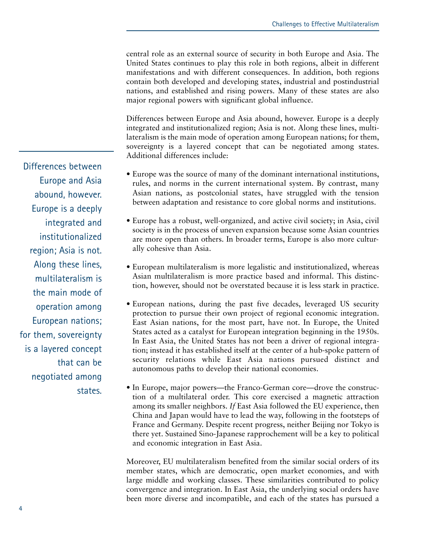central role as an external source of security in both Europe and Asia. The United States continues to play this role in both regions, albeit in different manifestations and with different consequences. In addition, both regions contain both developed and developing states, industrial and postindustrial nations, and established and rising powers. Many of these states are also major regional powers with significant global influence.

Differences between Europe and Asia abound, however. Europe is a deeply integrated and institutionalized region; Asia is not. Along these lines, multilateralism is the main mode of operation among European nations; for them, sovereignty is a layered concept that can be negotiated among states. Additional differences include:

- Europe was the source of many of the dominant international institutions, rules, and norms in the current international system. By contrast, many Asian nations, as postcolonial states, have struggled with the tension between adaptation and resistance to core global norms and institutions.
- Europe has a robust, well-organized, and active civil society; in Asia, civil society is in the process of uneven expansion because some Asian countries are more open than others. In broader terms, Europe is also more culturally cohesive than Asia.
- European multilateralism is more legalistic and institutionalized, whereas Asian multilateralism is more practice based and informal. This distinction, however, should not be overstated because it is less stark in practice.
- European nations, during the past five decades, leveraged US security protection to pursue their own project of regional economic integration. East Asian nations, for the most part, have not. In Europe, the United States acted as a catalyst for European integration beginning in the 1950s. In East Asia, the United States has not been a driver of regional integration; instead it has established itself at the center of a hub-spoke pattern of security relations while East Asia nations pursued distinct and autonomous paths to develop their national economies.
- In Europe, major powers—the Franco-German core—drove the construction of a multilateral order. This core exercised a magnetic attraction among its smaller neighbors. *If* East Asia followed the EU experience, then China and Japan would have to lead the way, following in the footsteps of France and Germany. Despite recent progress, neither Beijing nor Tokyo is there yet. Sustained Sino-Japanese rapprochement will be a key to political and economic integration in East Asia.

Moreover, EU multilateralism benefited from the similar social orders of its member states, which are democratic, open market economies, and with large middle and working classes. These similarities contributed to policy convergence and integration. In East Asia, the underlying social orders have been more diverse and incompatible, and each of the states has pursued a

Differences between Europe and Asia abound, however. Europe is a deeply integrated and institutionalized region; Asia is not. Along these lines, multilateralism is the main mode of operation among European nations; for them, sovereignty is a layered concept that can be negotiated among states.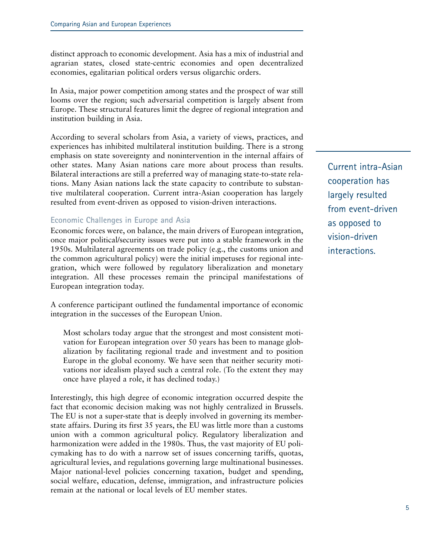distinct approach to economic development. Asia has a mix of industrial and agrarian states, closed state-centric economies and open decentralized economies, egalitarian political orders versus oligarchic orders.

In Asia, major power competition among states and the prospect of war still looms over the region; such adversarial competition is largely absent from Europe. These structural features limit the degree of regional integration and institution building in Asia.

According to several scholars from Asia, a variety of views, practices, and experiences has inhibited multilateral institution building. There is a strong emphasis on state sovereignty and nonintervention in the internal affairs of other states. Many Asian nations care more about process than results. Bilateral interactions are still a preferred way of managing state-to-state relations. Many Asian nations lack the state capacity to contribute to substantive multilateral cooperation. Current intra-Asian cooperation has largely resulted from event-driven as opposed to vision-driven interactions.

#### **Economic Challenges in Europe and Asia**

Economic forces were, on balance, the main drivers of European integration, once major political/security issues were put into a stable framework in the 1950s. Multilateral agreements on trade policy (e.g., the customs union and the common agricultural policy) were the initial impetuses for regional integration, which were followed by regulatory liberalization and monetary integration. All these processes remain the principal manifestations of European integration today.

A conference participant outlined the fundamental importance of economic integration in the successes of the European Union.

Most scholars today argue that the strongest and most consistent motivation for European integration over 50 years has been to manage globalization by facilitating regional trade and investment and to position Europe in the global economy. We have seen that neither security motivations nor idealism played such a central role. (To the extent they may once have played a role, it has declined today.)

Interestingly, this high degree of economic integration occurred despite the fact that economic decision making was not highly centralized in Brussels. The EU is not a super-state that is deeply involved in governing its memberstate affairs. During its first 35 years, the EU was little more than a customs union with a common agricultural policy. Regulatory liberalization and harmonization were added in the 1980s. Thus, the vast majority of EU policymaking has to do with a narrow set of issues concerning tariffs, quotas, agricultural levies, and regulations governing large multinational businesses. Major national-level policies concerning taxation, budget and spending, social welfare, education, defense, immigration, and infrastructure policies remain at the national or local levels of EU member states.

Current intra-Asian cooperation has largely resulted from event-driven as opposed to vision-driven interactions.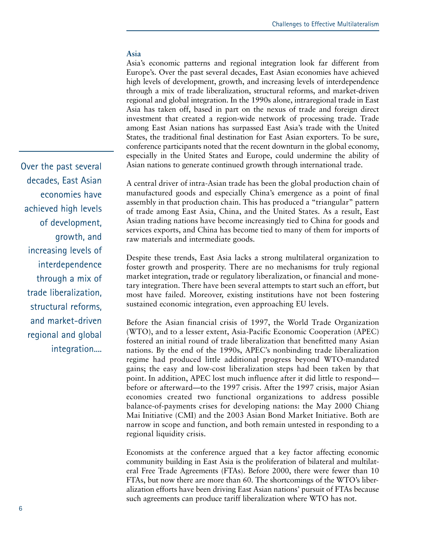#### **Asia**

Asia's economic patterns and regional integration look far different from Europe's. Over the past several decades, East Asian economies have achieved high levels of development, growth, and increasing levels of interdependence through a mix of trade liberalization, structural reforms, and market-driven regional and global integration. In the 1990s alone, intraregional trade in East Asia has taken off, based in part on the nexus of trade and foreign direct investment that created a region-wide network of processing trade. Trade among East Asian nations has surpassed East Asia's trade with the United States, the traditional final destination for East Asian exporters. To be sure, conference participants noted that the recent downturn in the global economy, especially in the United States and Europe, could undermine the ability of Asian nations to generate continued growth through international trade.

A central driver of intra-Asian trade has been the global production chain of manufactured goods and especially China's emergence as a point of final assembly in that production chain. This has produced a "triangular" pattern of trade among East Asia, China, and the United States. As a result, East Asian trading nations have become increasingly tied to China for goods and services exports, and China has become tied to many of them for imports of raw materials and intermediate goods.

Despite these trends, East Asia lacks a strong multilateral organization to foster growth and prosperity. There are no mechanisms for truly regional market integration, trade or regulatory liberalization, or financial and monetary integration. There have been several attempts to start such an effort, but most have failed. Moreover, existing institutions have not been fostering sustained economic integration, even approaching EU levels.

Before the Asian financial crisis of 1997, the World Trade Organization (WTO), and to a lesser extent, Asia-Pacific Economic Cooperation (APEC) fostered an initial round of trade liberalization that benefitted many Asian nations. By the end of the 1990s, APEC's nonbinding trade liberalization regime had produced little additional progress beyond WTO-mandated gains; the easy and low-cost liberalization steps had been taken by that point. In addition, APEC lost much influence after it did little to respond before or afterward—to the 1997 crisis. After the 1997 crisis, major Asian economies created two functional organizations to address possible balance-of-payments crises for developing nations: the May 2000 Chiang Mai Initiative (CMI) and the 2003 Asian Bond Market Initiative. Both are narrow in scope and function, and both remain untested in responding to a regional liquidity crisis.

Economists at the conference argued that a key factor affecting economic community building in East Asia is the proliferation of bilateral and multilateral Free Trade Agreements (FTAs). Before 2000, there were fewer than 10 FTAs, but now there are more than 60. The shortcomings of the WTO's liberalization efforts have been driving East Asian nations' pursuit of FTAs because such agreements can produce tariff liberalization where WTO has not.

Over the past several decades, East Asian economies have achieved high levels of development, growth, and increasing levels of interdependence through a mix of trade liberalization, structural reforms, and market-driven regional and global integration....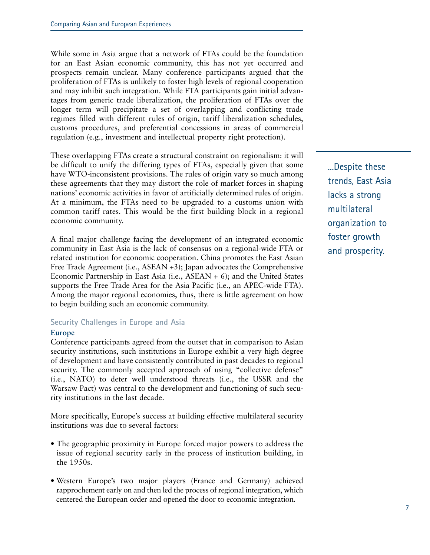While some in Asia argue that a network of FTAs could be the foundation for an East Asian economic community, this has not yet occurred and prospects remain unclear. Many conference participants argued that the proliferation of FTAs is unlikely to foster high levels of regional cooperation and may inhibit such integration. While FTA participants gain initial advantages from generic trade liberalization, the proliferation of FTAs over the longer term will precipitate a set of overlapping and conflicting trade regimes filled with different rules of origin, tariff liberalization schedules, customs procedures, and preferential concessions in areas of commercial regulation (e.g., investment and intellectual property right protection).

These overlapping FTAs create a structural constraint on regionalism: it will be difficult to unify the differing types of FTAs, especially given that some have WTO-inconsistent provisions. The rules of origin vary so much among these agreements that they may distort the role of market forces in shaping nations' economic activities in favor of artificially determined rules of origin. At a minimum, the FTAs need to be upgraded to a customs union with common tariff rates. This would be the first building block in a regional economic community.

A final major challenge facing the development of an integrated economic community in East Asia is the lack of consensus on a regional-wide FTA or related institution for economic cooperation. China promotes the East Asian Free Trade Agreement (i.e., ASEAN +3); Japan advocates the Comprehensive Economic Partnership in East Asia (i.e., ASEAN + 6); and the United States supports the Free Trade Area for the Asia Pacific (i.e., an APEC-wide FTA). Among the major regional economies, thus, there is little agreement on how to begin building such an economic community.

#### **Security Challenges in Europe and Asia**

#### **Europe**

Conference participants agreed from the outset that in comparison to Asian security institutions, such institutions in Europe exhibit a very high degree of development and have consistently contributed in past decades to regional security. The commonly accepted approach of using "collective defense" (i.e., NATO) to deter well understood threats (i.e., the USSR and the Warsaw Pact) was central to the development and functioning of such security institutions in the last decade.

More specifically, Europe's success at building effective multilateral security institutions was due to several factors:

- The geographic proximity in Europe forced major powers to address the issue of regional security early in the process of institution building, in the 1950s.
- Western Europe's two major players (France and Germany) achieved rapprochement early on and then led the process of regional integration, which centered the European order and opened the door to economic integration.

...Despite these trends, East Asia lacks a strong multilateral organization to foster growth and prosperity.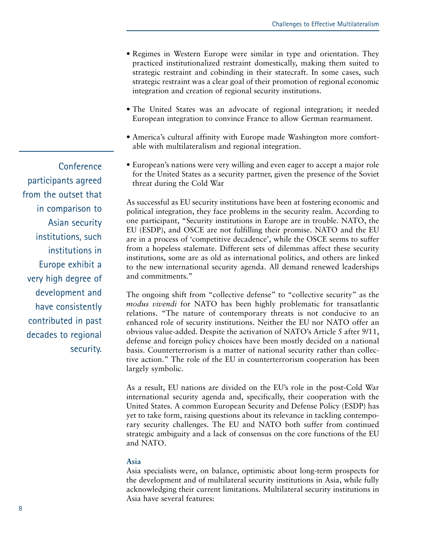- Regimes in Western Europe were similar in type and orientation. They practiced institutionalized restraint domestically, making them suited to strategic restraint and cobinding in their statecraft. In some cases, such strategic restraint was a clear goal of their promotion of regional economic integration and creation of regional security institutions.
- The United States was an advocate of regional integration; it needed European integration to convince France to allow German rearmament.
- America's cultural affinity with Europe made Washington more comfortable with multilateralism and regional integration.
- European's nations were very willing and even eager to accept a major role for the United States as a security partner, given the presence of the Soviet threat during the Cold War

As successful as EU security institutions have been at fostering economic and political integration, they face problems in the security realm. According to one participant, "Security institutions in Europe are in trouble. NATO, the EU (ESDP), and OSCE are not fulfilling their promise. NATO and the EU are in a process of 'competitive decadence', while the OSCE seems to suffer from a hopeless stalemate. Different sets of dilemmas affect these security institutions, some are as old as international politics, and others are linked to the new international security agenda. All demand renewed leaderships and commitments."

The ongoing shift from "collective defense" to "collective security" as the *modus vivendi* for NATO has been highly problematic for transatlantic relations. "The nature of contemporary threats is not conducive to an enhanced role of security institutions. Neither the EU nor NATO offer an obvious value-added. Despite the activation of NATO's Article 5 after 9/11, defense and foreign policy choices have been mostly decided on a national basis. Counterterrorism is a matter of national security rather than collective action." The role of the EU in counterterrorism cooperation has been largely symbolic.

As a result, EU nations are divided on the EU's role in the post-Cold War international security agenda and, specifically, their cooperation with the United States. A common European Security and Defense Policy (ESDP) has yet to take form, raising questions about its relevance in tackling contemporary security challenges. The EU and NATO both suffer from continued strategic ambiguity and a lack of consensus on the core functions of the EU and NATO.

#### **Asia**

Asia specialists were, on balance, optimistic about long-term prospects for the development and of multilateral security institutions in Asia, while fully acknowledging their current limitations. Multilateral security institutions in Asia have several features:

**Conference** participants agreed from the outset that in comparison to Asian security institutions, such institutions in Europe exhibit a very high degree of development and have consistently contributed in past decades to regional security.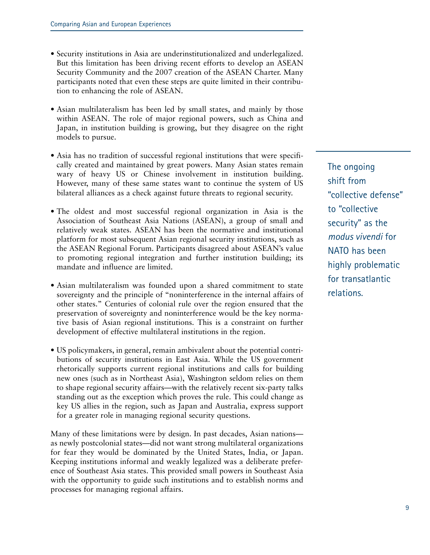- Security institutions in Asia are underinstitutionalized and underlegalized. But this limitation has been driving recent efforts to develop an ASEAN Security Community and the 2007 creation of the ASEAN Charter. Many participants noted that even these steps are quite limited in their contribution to enhancing the role of ASEAN.
- Asian multilateralism has been led by small states, and mainly by those within ASEAN. The role of major regional powers, such as China and Japan, in institution building is growing, but they disagree on the right models to pursue.
- Asia has no tradition of successful regional institutions that were specifically created and maintained by great powers. Many Asian states remain wary of heavy US or Chinese involvement in institution building. However, many of these same states want to continue the system of US bilateral alliances as a check against future threats to regional security.
- The oldest and most successful regional organization in Asia is the Association of Southeast Asia Nations (ASEAN), a group of small and relatively weak states. ASEAN has been the normative and institutional platform for most subsequent Asian regional security institutions, such as the ASEAN Regional Forum. Participants disagreed about ASEAN's value to promoting regional integration and further institution building; its mandate and influence are limited.
- Asian multilateralism was founded upon a shared commitment to state sovereignty and the principle of "noninterference in the internal affairs of other states." Centuries of colonial rule over the region ensured that the preservation of sovereignty and noninterference would be the key normative basis of Asian regional institutions. This is a constraint on further development of effective multilateral institutions in the region.
- US policymakers, in general, remain ambivalent about the potential contributions of security institutions in East Asia. While the US government rhetorically supports current regional institutions and calls for building new ones (such as in Northeast Asia), Washington seldom relies on them to shape regional security affairs—with the relatively recent six-party talks standing out as the exception which proves the rule. This could change as key US allies in the region, such as Japan and Australia, express support for a greater role in managing regional security questions.

Many of these limitations were by design. In past decades, Asian nations as newly postcolonial states—did not want strong multilateral organizations for fear they would be dominated by the United States, India, or Japan. Keeping institutions informal and weakly legalized was a deliberate preference of Southeast Asia states. This provided small powers in Southeast Asia with the opportunity to guide such institutions and to establish norms and processes for managing regional affairs.

The ongoing shift from "collective defense" to "collective security" as the *modus vivendi* for NATO has been highly problematic for transatlantic relations.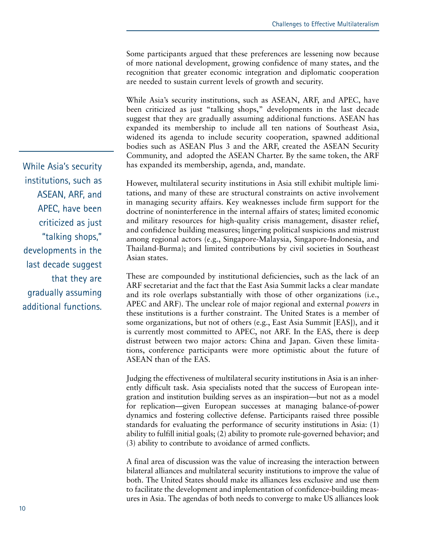Some participants argued that these preferences are lessening now because of more national development, growing confidence of many states, and the recognition that greater economic integration and diplomatic cooperation are needed to sustain current levels of growth and security.

While Asia's security institutions, such as ASEAN, ARF, and APEC, have been criticized as just "talking shops," developments in the last decade suggest that they are gradually assuming additional functions. ASEAN has expanded its membership to include all ten nations of Southeast Asia, widened its agenda to include security cooperation, spawned additional bodies such as ASEAN Plus 3 and the ARF, created the ASEAN Security Community, and adopted the ASEAN Charter. By the same token, the ARF has expanded its membership, agenda, and, mandate.

However, multilateral security institutions in Asia still exhibit multiple limitations, and many of these are structural constraints on active involvement in managing security affairs. Key weaknesses include firm support for the doctrine of noninterference in the internal affairs of states; limited economic and military resources for high-quality crisis management, disaster relief, and confidence building measures; lingering political suspicions and mistrust among regional actors (e.g., Singapore-Malaysia, Singapore-Indonesia, and Thailand-Burma); and limited contributions by civil societies in Southeast Asian states.

These are compounded by institutional deficiencies, such as the lack of an ARF secretariat and the fact that the East Asia Summit lacks a clear mandate and its role overlaps substantially with those of other organizations (i.e., APEC and ARF). The unclear role of major regional and external *powers* in these institutions is a further constraint. The United States is a member of some organizations, but not of others (e.g., East Asia Summit [EAS]), and it is currently most committed to APEC, not ARF. In the EAS, there is deep distrust between two major actors: China and Japan. Given these limitations, conference participants were more optimistic about the future of ASEAN than of the EAS.

Judging the effectiveness of multilateral security institutions in Asia is an inherently difficult task. Asia specialists noted that the success of European integration and institution building serves as an inspiration—but not as a model for replication—given European successes at managing balance-of-power dynamics and fostering collective defense. Participants raised three possible standards for evaluating the performance of security institutions in Asia: (1) ability to fulfill initial goals; (2) ability to promote rule-governed behavior; and (3) ability to contribute to avoidance of armed conflicts.

A final area of discussion was the value of increasing the interaction between bilateral alliances and multilateral security institutions to improve the value of both. The United States should make its alliances less exclusive and use them to facilitate the development and implementation of confidence-building measures in Asia. The agendas of both needs to converge to make US alliances look

While Asia's security institutions, such as ASEAN, ARF, and APEC, have been criticized as just "talking shops," developments in the last decade suggest that they are gradually assuming additional functions.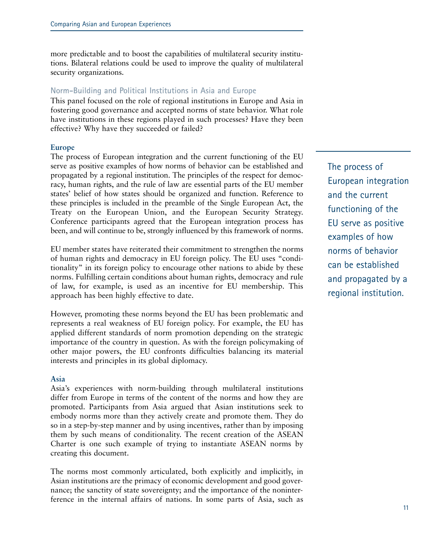more predictable and to boost the capabilities of multilateral security institutions. Bilateral relations could be used to improve the quality of multilateral security organizations.

#### **Norm-Building and Political Institutions in Asia and Europe**

This panel focused on the role of regional institutions in Europe and Asia in fostering good governance and accepted norms of state behavior. What role have institutions in these regions played in such processes? Have they been effective? Why have they succeeded or failed?

#### **Europe**

The process of European integration and the current functioning of the EU serve as positive examples of how norms of behavior can be established and propagated by a regional institution. The principles of the respect for democracy, human rights, and the rule of law are essential parts of the EU member states' belief of how states should be organized and function. Reference to these principles is included in the preamble of the Single European Act, the Treaty on the European Union, and the European Security Strategy. Conference participants agreed that the European integration process has been, and will continue to be, strongly influenced by this framework of norms.

EU member states have reiterated their commitment to strengthen the norms of human rights and democracy in EU foreign policy. The EU uses "conditionality" in its foreign policy to encourage other nations to abide by these norms. Fulfilling certain conditions about human rights, democracy and rule of law, for example, is used as an incentive for EU membership. This approach has been highly effective to date.

However, promoting these norms beyond the EU has been problematic and represents a real weakness of EU foreign policy. For example, the EU has applied different standards of norm promotion depending on the strategic importance of the country in question. As with the foreign policymaking of other major powers, the EU confronts difficulties balancing its material interests and principles in its global diplomacy.

#### **Asia**

Asia's experiences with norm-building through multilateral institutions differ from Europe in terms of the content of the norms and how they are promoted. Participants from Asia argued that Asian institutions seek to embody norms more than they actively create and promote them. They do so in a step-by-step manner and by using incentives, rather than by imposing them by such means of conditionality. The recent creation of the ASEAN Charter is one such example of trying to instantiate ASEAN norms by creating this document.

The norms most commonly articulated, both explicitly and implicitly, in Asian institutions are the primacy of economic development and good governance; the sanctity of state sovereignty; and the importance of the noninterference in the internal affairs of nations. In some parts of Asia, such as

The process of European integration and the current functioning of the EU serve as positive examples of how norms of behavior can be established and propagated by a regional institution.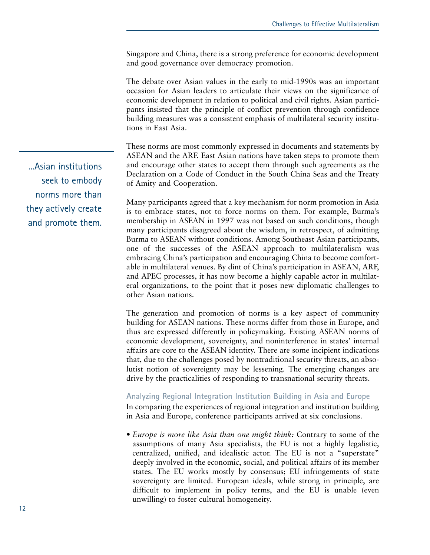Singapore and China, there is a strong preference for economic development and good governance over democracy promotion.

The debate over Asian values in the early to mid-1990s was an important occasion for Asian leaders to articulate their views on the significance of economic development in relation to political and civil rights. Asian participants insisted that the principle of conflict prevention through confidence building measures was a consistent emphasis of multilateral security institutions in East Asia.

These norms are most commonly expressed in documents and statements by ASEAN and the ARF. East Asian nations have taken steps to promote them and encourage other states to accept them through such agreements as the Declaration on a Code of Conduct in the South China Seas and the Treaty of Amity and Cooperation.

Many participants agreed that a key mechanism for norm promotion in Asia is to embrace states, not to force norms on them. For example, Burma's membership in ASEAN in 1997 was not based on such conditions, though many participants disagreed about the wisdom, in retrospect, of admitting Burma to ASEAN without conditions. Among Southeast Asian participants, one of the successes of the ASEAN approach to multilateralism was embracing China's participation and encouraging China to become comfortable in multilateral venues. By dint of China's participation in ASEAN, ARF, and APEC processes, it has now become a highly capable actor in multilateral organizations, to the point that it poses new diplomatic challenges to other Asian nations.

The generation and promotion of norms is a key aspect of community building for ASEAN nations. These norms differ from those in Europe, and thus are expressed differently in policymaking. Existing ASEAN norms of economic development, sovereignty, and noninterference in states' internal affairs are core to the ASEAN identity. There are some incipient indications that, due to the challenges posed by nontraditional security threats, an absolutist notion of sovereignty may be lessening. The emerging changes are drive by the practicalities of responding to transnational security threats.

#### **Analyzing Regional Integration Institution Building in Asia and Europe**

In comparing the experiences of regional integration and institution building in Asia and Europe, conference participants arrived at six conclusions.

*• Europe is more like Asia than one might think:* Contrary to some of the assumptions of many Asia specialists, the EU is not a highly legalistic, centralized, unified, and idealistic actor. The EU is not a "superstate" deeply involved in the economic, social, and political affairs of its member states. The EU works mostly by consensus; EU infringements of state sovereignty are limited. European ideals, while strong in principle, are difficult to implement in policy terms, and the EU is unable (even unwilling) to foster cultural homogeneity.

...Asian institutions seek to embody norms more than they actively create and promote them.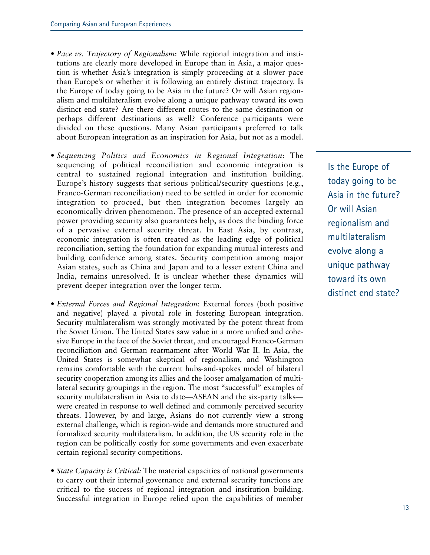- *Pace vs. Trajectory of Regionalism*: While regional integration and institutions are clearly more developed in Europe than in Asia, a major question is whether Asia's integration is simply proceeding at a slower pace than Europe's or whether it is following an entirely distinct trajectory. Is the Europe of today going to be Asia in the future? Or will Asian regionalism and multilateralism evolve along a unique pathway toward its own distinct end state? Are there different routes to the same destination or perhaps different destinations as well? Conference participants were divided on these questions. Many Asian participants preferred to talk about European integration as an inspiration for Asia, but not as a model.
- *Sequencing Politics and Economics in Regional Integration*: The sequencing of political reconciliation and economic integration is central to sustained regional integration and institution building. Europe's history suggests that serious political/security questions (e.g., Franco-German reconciliation) need to be settled in order for economic integration to proceed, but then integration becomes largely an economically-driven phenomenon. The presence of an accepted external power providing security also guarantees help, as does the binding force of a pervasive external security threat. In East Asia, by contrast, economic integration is often treated as the leading edge of political reconciliation, setting the foundation for expanding mutual interests and building confidence among states. Security competition among major Asian states, such as China and Japan and to a lesser extent China and India, remains unresolved. It is unclear whether these dynamics will prevent deeper integration over the longer term.
- *External Forces and Regional Integration*: External forces (both positive and negative) played a pivotal role in fostering European integration. Security multilateralism was strongly motivated by the potent threat from the Soviet Union. The United States saw value in a more unified and cohesive Europe in the face of the Soviet threat, and encouraged Franco-German reconciliation and German rearmament after World War II. In Asia, the United States is somewhat skeptical of regionalism, and Washington remains comfortable with the current hubs-and-spokes model of bilateral security cooperation among its allies and the looser amalgamation of multilateral security groupings in the region. The most "successful" examples of security multilateralism in Asia to date—ASEAN and the six-party talks were created in response to well defined and commonly perceived security threats. However, by and large, Asians do not currently view a strong external challenge, which is region-wide and demands more structured and formalized security multilateralism. In addition, the US security role in the region can be politically costly for some governments and even exacerbate certain regional security competitions.
- *State Capacity is Critical:* The material capacities of national governments to carry out their internal governance and external security functions are critical to the success of regional integration and institution building. Successful integration in Europe relied upon the capabilities of member

Is the Europe of today going to be Asia in the future? Or will Asian regionalism and multilateralism evolve along a unique pathway toward its own distinct end state?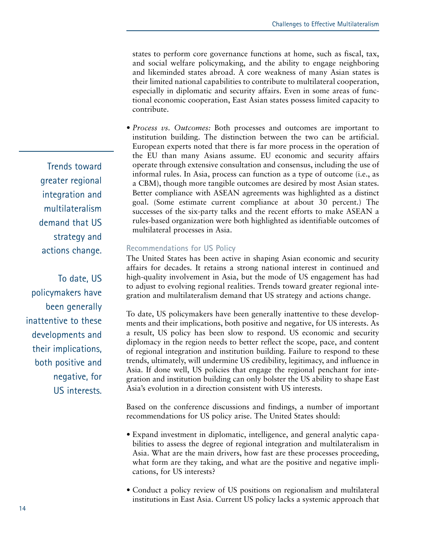states to perform core governance functions at home, such as fiscal, tax, and social welfare policymaking, and the ability to engage neighboring and likeminded states abroad. A core weakness of many Asian states is their limited national capabilities to contribute to multilateral cooperation, especially in diplomatic and security affairs. Even in some areas of functional economic cooperation, East Asian states possess limited capacity to contribute.

*• Process vs. Outcomes:* Both processes and outcomes are important to institution building. The distinction between the two can be artificial. European experts noted that there is far more process in the operation of the EU than many Asians assume. EU economic and security affairs operate through extensive consultation and consensus, including the use of informal rules. In Asia, process can function as a type of outcome (i.e., as a CBM), though more tangible outcomes are desired by most Asian states. Better compliance with ASEAN agreements was highlighted as a distinct goal. (Some estimate current compliance at about 30 percent.) The successes of the six-party talks and the recent efforts to make ASEAN a rules-based organization were both highlighted as identifiable outcomes of multilateral processes in Asia.

#### **Recommendations for US Policy**

The United States has been active in shaping Asian economic and security affairs for decades. It retains a strong national interest in continued and high-quality involvement in Asia, but the mode of US engagement has had to adjust to evolving regional realities. Trends toward greater regional integration and multilateralism demand that US strategy and actions change.

To date, US policymakers have been generally inattentive to these developments and their implications, both positive and negative, for US interests. As a result, US policy has been slow to respond. US economic and security diplomacy in the region needs to better reflect the scope, pace, and content of regional integration and institution building. Failure to respond to these trends, ultimately, will undermine US credibility, legitimacy, and influence in Asia. If done well, US policies that engage the regional penchant for integration and institution building can only bolster the US ability to shape East Asia's evolution in a direction consistent with US interests.

Based on the conference discussions and findings, a number of important recommendations for US policy arise. The United States should:

- *•* Expand investment in diplomatic, intelligence, and general analytic capabilities to assess the degree of regional integration and multilateralism in Asia. What are the main drivers, how fast are these processes proceeding, what form are they taking, and what are the positive and negative implications, for US interests?
- *•* Conduct a policy review of US positions on regionalism and multilateral institutions in East Asia. Current US policy lacks a systemic approach that

Trends toward greater regional integration and multilateralism demand that US strategy and actions change.

To date, US policymakers have been generally inattentive to these developments and their implications, both positive and negative, for US interests.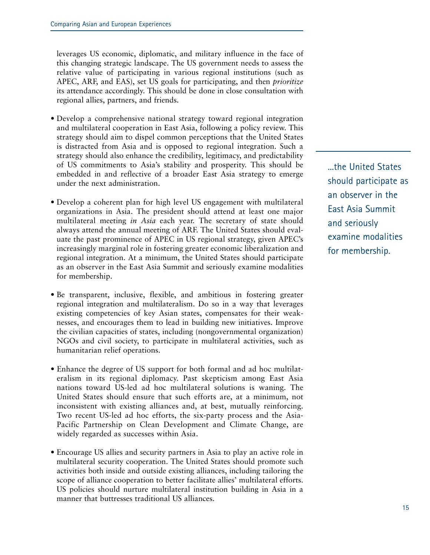leverages US economic, diplomatic, and military influence in the face of this changing strategic landscape. The US government needs to assess the relative value of participating in various regional institutions (such as APEC, ARF, and EAS), set US goals for participating, and then *prioritize* its attendance accordingly. This should be done in close consultation with regional allies, partners, and friends.

- *•* Develop a comprehensive national strategy toward regional integration and multilateral cooperation in East Asia, following a policy review. This strategy should aim to dispel common perceptions that the United States is distracted from Asia and is opposed to regional integration. Such a strategy should also enhance the credibility, legitimacy, and predictability of US commitments to Asia's stability and prosperity. This should be embedded in and reflective of a broader East Asia strategy to emerge under the next administration.
- *•* Develop a coherent plan for high level US engagement with multilateral organizations in Asia. The president should attend at least one major multilateral meeting *in Asia* each year. The secretary of state should always attend the annual meeting of ARF. The United States should evaluate the past prominence of APEC in US regional strategy, given APEC's increasingly marginal role in fostering greater economic liberalization and regional integration. At a minimum, the United States should participate as an observer in the East Asia Summit and seriously examine modalities for membership.
- *•* Be transparent, inclusive, flexible, and ambitious in fostering greater regional integration and multilateralism. Do so in a way that leverages existing competencies of key Asian states, compensates for their weaknesses, and encourages them to lead in building new initiatives. Improve the civilian capacities of states, including (nongovernmental organization) NGOs and civil society, to participate in multilateral activities, such as humanitarian relief operations.
- *•* Enhance the degree of US support for both formal and ad hoc multilateralism in its regional diplomacy. Past skepticism among East Asia nations toward US-led ad hoc multilateral solutions is waning. The United States should ensure that such efforts are, at a minimum, not inconsistent with existing alliances and, at best, mutually reinforcing. Two recent US-led ad hoc efforts, the six-party process and the Asia-Pacific Partnership on Clean Development and Climate Change, are widely regarded as successes within Asia.
- *•* Encourage US allies and security partners in Asia to play an active role in multilateral security cooperation. The United States should promote such activities both inside and outside existing alliances, including tailoring the scope of alliance cooperation to better facilitate allies' multilateral efforts. US policies should nurture multilateral institution building in Asia in a manner that buttresses traditional US alliances.

...the United States should participate as an observer in the East Asia Summit and seriously examine modalities for membership.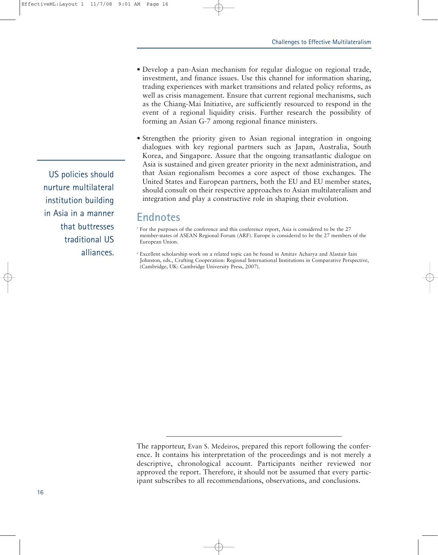*•* Develop a pan-Asian mechanism for regular dialogue on regional trade, investment, and finance issues. Use this channel for information sharing, trading experiences with market transitions and related policy reforms, as well as crisis management. Ensure that current regional mechanisms, such as the Chiang-Mai Initiative, are sufficiently resourced to respond in the event of a regional liquidity crisis. Further research the possibility of forming an Asian G-7 among regional finance ministers.

*•* Strengthen the priority given to Asian regional integration in ongoing dialogues with key regional partners such as Japan, Australia, South Korea, and Singapore. Assure that the ongoing transatlantic dialogue on Asia is sustained and given greater priority in the next administration, and that Asian regionalism becomes a core aspect of those exchanges. The United States and European partners, both the EU and EU member states, should consult on their respective approaches to Asian multilateralism and integration and play a constructive role in shaping their evolution.

## **Endnotes**

<sup>1</sup> For the purposes of the conference and this conference report, Asia is considered to be the 27 member-states of ASEAN Regional Forum (ARF). Europe is considered to be the 27 members of the European Union.

<sup>2</sup> Excellent scholarship work on a related topic can be found in Amitav Acharya and Alastair Iain Johnston, eds., Crafting Cooperation: Regional International Institutions in Comparative Perspective, (Cambridge, UK: Cambridge University Press, 2007).

The rapporteur, Evan S. Medeiros, prepared this report following the conference. It contains his interpretation of the proceedings and is not merely a descriptive, chronological account. Participants neither reviewed nor approved the report. Therefore, it should not be assumed that every participant subscribes to all recommendations, observations, and conclusions.

US policies should nurture multilateral institution building in Asia in a manner that buttresses traditional US alliances.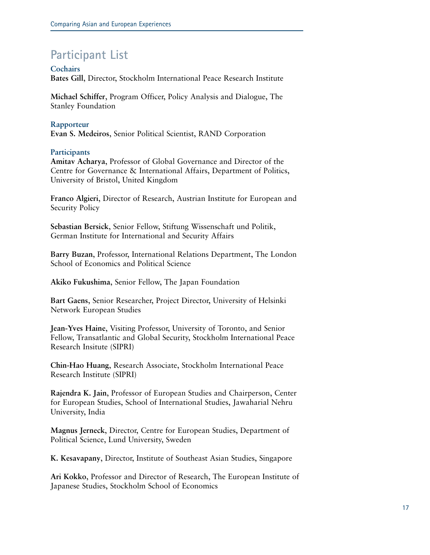# **Participant List**

**Cochairs Bates Gill**, Director, Stockholm International Peace Research Institute

**Michael Schiffer**, Program Officer, Policy Analysis and Dialogue, The Stanley Foundation

**Rapporteur Evan S. Medeiros**, Senior Political Scientist, RAND Corporation

### **Participants**

**Amitav Acharya**, Professor of Global Governance and Director of the Centre for Governance & International Affairs, Department of Politics, University of Bristol, United Kingdom

**Franco Algieri**, Director of Research, Austrian Institute for European and Security Policy

**Sebastian Bersick**, Senior Fellow, Stiftung Wissenschaft und Politik, German Institute for International and Security Affairs

**Barry Buzan**, Professor, International Relations Department, The London School of Economics and Political Science

**Akiko Fukushima**, Senior Fellow, The Japan Foundation

**Bart Gaens**, Senior Researcher, Project Director, University of Helsinki Network European Studies

**Jean-Yves Haine**, Visiting Professor, University of Toronto, and Senior Fellow, Transatlantic and Global Security, Stockholm International Peace Research Insitute (SIPRI)

**Chin-Hao Huang**, Research Associate, Stockholm International Peace Research Institute (SIPRI)

**Rajendra K. Jain**, Professor of European Studies and Chairperson, Center for European Studies, School of International Studies, Jawaharial Nehru University, India

**Magnus Jerneck**, Director, Centre for European Studies, Department of Political Science, Lund University, Sweden

**K. Kesavapany**, Director, Institute of Southeast Asian Studies, Singapore

**Ari Kokko**, Professor and Director of Research, The European Institute of Japanese Studies, Stockholm School of Economics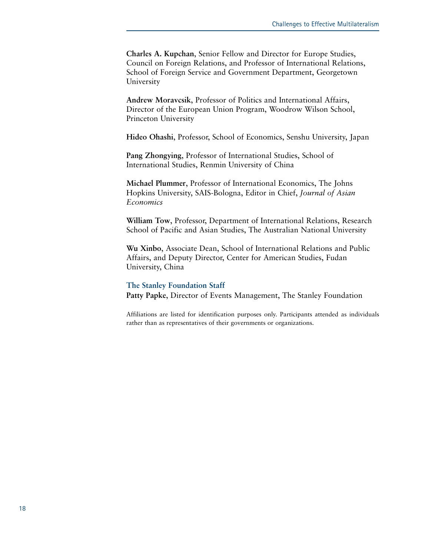**Charles A. Kupchan**, Senior Fellow and Director for Europe Studies, Council on Foreign Relations, and Professor of International Relations, School of Foreign Service and Government Department, Georgetown University

**Andrew Moravcsik**, Professor of Politics and International Affairs, Director of the European Union Program, Woodrow Wilson School, Princeton University

**Hideo Ohashi**, Professor, School of Economics, Senshu University, Japan

**Pang Zhongying**, Professor of International Studies, School of International Studies, Renmin University of China

**Michael Plummer**, Professor of International Economics, The Johns Hopkins University, SAIS-Bologna, Editor in Chief, *Journal of Asian Economics*

**William Tow**, Professor, Department of International Relations, Research School of Pacific and Asian Studies, The Australian National University

**Wu Xinbo**, Associate Dean, School of International Relations and Public Affairs, and Deputy Director, Center for American Studies, Fudan University, China

**The Stanley Foundation Staff Patty Papke**, Director of Events Management, The Stanley Foundation

Affiliations are listed for identification purposes only. Participants attended as individuals rather than as representatives of their governments or organizations.